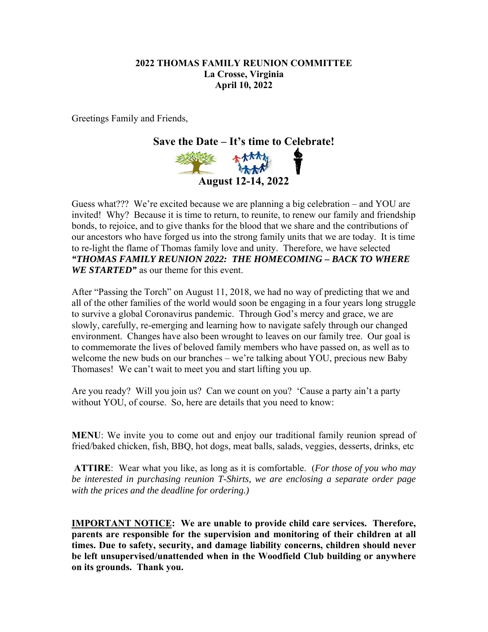#### **2022 THOMAS FAMILY REUNION COMMITTEE La Crosse, Virginia April 10, 2022**

Greetings Family and Friends,



Guess what??? We're excited because we are planning a big celebration – and YOU are invited! Why? Because it is time to return, to reunite, to renew our family and friendship bonds, to rejoice, and to give thanks for the blood that we share and the contributions of our ancestors who have forged us into the strong family units that we are today. It is time to re-light the flame of Thomas family love and unity. Therefore, we have selected *"THOMAS FAMILY REUNION 2022: THE HOMECOMING – BACK TO WHERE WE STARTED"* as our theme for this event.

After "Passing the Torch" on August 11, 2018, we had no way of predicting that we and all of the other families of the world would soon be engaging in a four years long struggle to survive a global Coronavirus pandemic. Through God's mercy and grace, we are slowly, carefully, re-emerging and learning how to navigate safely through our changed environment. Changes have also been wrought to leaves on our family tree. Our goal is to commemorate the lives of beloved family members who have passed on, as well as to welcome the new buds on our branches – we're talking about YOU, precious new Baby Thomases! We can't wait to meet you and start lifting you up.

Are you ready? Will you join us? Can we count on you? 'Cause a party ain't a party without YOU, of course. So, here are details that you need to know:

**MENU**: We invite you to come out and enjoy our traditional family reunion spread of fried/baked chicken, fish, BBQ, hot dogs, meat balls, salads, veggies, desserts, drinks, etc

**ATTIRE**: Wear what you like, as long as it is comfortable. (*For those of you who may be interested in purchasing reunion T-Shirts, we are enclosing a separate order page with the prices and the deadline for ordering.)* 

**IMPORTANT NOTICE: We are unable to provide child care services. Therefore, parents are responsible for the supervision and monitoring of their children at all times. Due to safety, security, and damage liability concerns, children should never be left unsupervised/unattended when in the Woodfield Club building or anywhere on its grounds. Thank you.**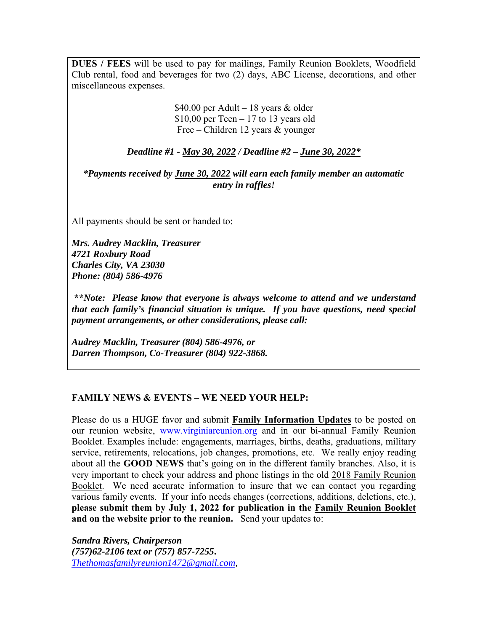**DUES / FEES** will be used to pay for mailings, Family Reunion Booklets, Woodfield Club rental, food and beverages for two (2) days, ABC License, decorations, and other miscellaneous expenses.

> \$40.00 per Adult – 18 years & older  $$10,00$  per Teen – 17 to 13 years old Free – Children 12 years & younger

*Deadline #1 - May 30, 2022 / Deadline #2 – June 30, 2022\** 

*\*Payments received by June 30, 2022 will earn each family member an automatic entry in raffles!* 

All payments should be sent or handed to:

*Mrs. Audrey Macklin, Treasurer 4721 Roxbury Road Charles City, VA 23030 Phone: (804) 586-4976* 

 **\*\****Note: Please know that everyone is always welcome to attend and we understand that each family's financial situation is unique. If you have questions, need special payment arrangements, or other considerations, please call:* 

*Audrey Macklin, Treasurer (804) 586-4976, or Darren Thompson, Co-Treasurer (804) 922-3868.* 

#### **FAMILY NEWS & EVENTS – WE NEED YOUR HELP:**

Please do us a HUGE favor and submit **Family Information Updates** to be posted on our reunion website, www.virginiareunion.org and in our bi-annual Family Reunion Booklet. Examples include: engagements, marriages, births, deaths, graduations, military service, retirements, relocations, job changes, promotions, etc. We really enjoy reading about all the **GOOD NEWS** that's going on in the different family branches. Also, it is very important to check your address and phone listings in the old 2018 Family Reunion Booklet. We need accurate information to insure that we can contact you regarding various family events. If your info needs changes (corrections, additions, deletions, etc.), **please submit them by July 1, 2022 for publication in the Family Reunion Booklet and on the website prior to the reunion.** Send your updates to:

*Sandra Rivers, Chairperson (757)62-2106 text or (757) 857-7255***.**  *Thethomasfamilyreunion1472@gmail.com,*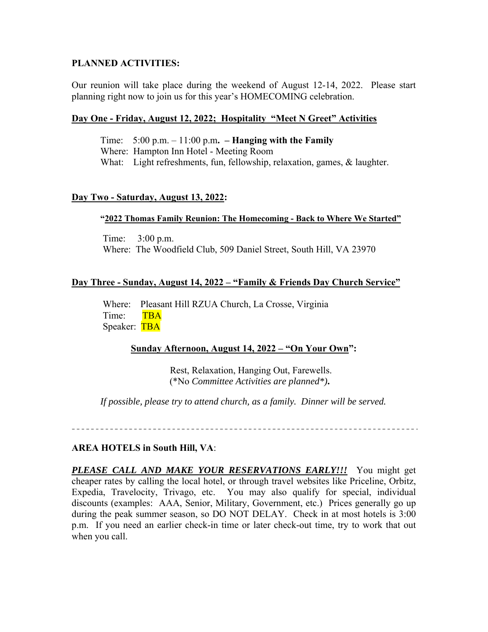#### **PLANNED ACTIVITIES:**

Our reunion will take place during the weekend of August 12-14, 2022. Please start planning right now to join us for this year's HOMECOMING celebration.

#### **Day One - Friday, August 12, 2022; Hospitality "Meet N Greet" Activities**

 Time: 5:00 p.m. – 11:00 p.m**. – Hanging with the Family**  Where: Hampton Inn Hotel - Meeting Room What: Light refreshments, fun, fellowship, relaxation, games, & laughter.

### **Day Two - Saturday, August 13, 2022:**

#### **"2022 Thomas Family Reunion: The Homecoming - Back to Where We Started"**

 Time: 3:00 p.m. Where: The Woodfield Club, 509 Daniel Street, South Hill, VA 23970

#### **Day Three - Sunday, August 14, 2022 – "Family & Friends Day Church Service"**

 Where: Pleasant Hill RZUA Church, La Crosse, Virginia Time: TBA Speaker: TBA

#### **Sunday Afternoon, August 14, 2022 – "On Your Own":**

Rest, Relaxation, Hanging Out, Farewells. (\*No *Committee Activities are planned\*)***.** 

*If possible, please try to attend church, as a family. Dinner will be served.* 

#### **AREA HOTELS in South Hill, VA**:

*PLEASE CALL AND MAKE YOUR RESERVATIONS EARLY!!!* You might get cheaper rates by calling the local hotel, or through travel websites like Priceline, Orbitz, Expedia, Travelocity, Trivago, etc. You may also qualify for special, individual discounts (examples: AAA, Senior, Military, Government, etc.) Prices generally go up during the peak summer season, so DO NOT DELAY. Check in at most hotels is 3:00 p.m. If you need an earlier check-in time or later check-out time, try to work that out when you call.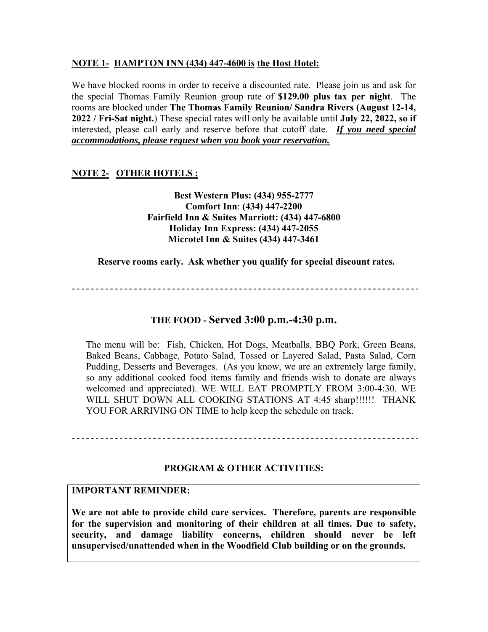## **NOTE 1- HAMPTON INN (434) 447-4600 is the Host Hotel:**

We have blocked rooms in order to receive a discounted rate. Please join us and ask for the special Thomas Family Reunion group rate of **\$129.00 plus tax per night**. The rooms are blocked under **The Thomas Family Reunion/ Sandra Rivers (August 12-14, 2022 / Fri-Sat night.**) These special rates will only be available until **July 22, 2022, so if**  interested, please call early and reserve before that cutoff date.*If you need special accommodations, please request when you book your reservation.* 

# **NOTE 2- OTHER HOTELS ;**

**Best Western Plus: (434) 955-2777 Comfort Inn**: **(434) 447-2200 Fairfield Inn & Suites Marriott: (434) 447-6800 Holiday Inn Express: (434) 447-2055 Microtel Inn & Suites (434) 447-3461** 

**Reserve rooms early. Ask whether you qualify for special discount rates.** 

## **THE FOOD - Served 3:00 p.m.-4:30 p.m.**

The menu will be: Fish, Chicken, Hot Dogs, Meatballs, BBQ Pork, Green Beans, Baked Beans, Cabbage, Potato Salad, Tossed or Layered Salad, Pasta Salad, Corn Pudding, Desserts and Beverages. (As you know, we are an extremely large family, so any additional cooked food items family and friends wish to donate are always welcomed and appreciated). WE WILL EAT PROMPTLY FROM 3:00-4:30. WE WILL SHUT DOWN ALL COOKING STATIONS AT 4:45 sharp!!!!!! THANK YOU FOR ARRIVING ON TIME to help keep the schedule on track.

#### **PROGRAM & OTHER ACTIVITIES:**

#### **IMPORTANT REMINDER:**

**We are not able to provide child care services. Therefore, parents are responsible for the supervision and monitoring of their children at all times. Due to safety, security, and damage liability concerns, children should never be left unsupervised/unattended when in the Woodfield Club building or on the grounds.**